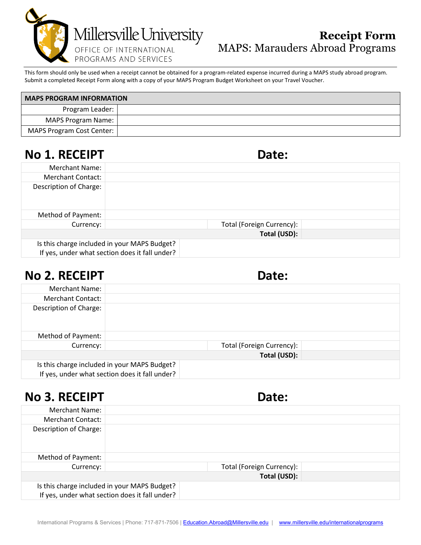

#### **Receipt Form** MAPS: Marauders Abroad Programs

This form should only be used when a receipt cannot be obtained for a program-related expense incurred during a MAPS study abroad program. Submit a completed Receipt Form along with a copy of your MAPS Program Budget Worksheet on your Travel Voucher.

| <b>MAPS PROGRAM INFORMATION</b> |  |  |  |
|---------------------------------|--|--|--|
| Program Leader:                 |  |  |  |
| MAPS Program Name:              |  |  |  |
| MAPS Program Cost Center:       |  |  |  |

### **No 1. RECEIPT Date:**

| Merchant Name:         |                                                                                                |                           |  |
|------------------------|------------------------------------------------------------------------------------------------|---------------------------|--|
| Merchant Contact:      |                                                                                                |                           |  |
| Description of Charge: |                                                                                                |                           |  |
| Method of Payment:     |                                                                                                |                           |  |
| Currency:              |                                                                                                | Total (Foreign Currency): |  |
|                        |                                                                                                | Total (USD):              |  |
|                        | Is this charge included in your MAPS Budget?<br>If yes, under what section does it fall under? |                           |  |

| No 2. RECEIPT |
|---------------|
|---------------|

| <b>No 2. RECEIPT</b>   |                                                                                                | Date:                     |  |
|------------------------|------------------------------------------------------------------------------------------------|---------------------------|--|
| Merchant Name:         |                                                                                                |                           |  |
| Merchant Contact:      |                                                                                                |                           |  |
| Description of Charge: |                                                                                                |                           |  |
| Method of Payment:     |                                                                                                |                           |  |
| Currency:              |                                                                                                | Total (Foreign Currency): |  |
|                        |                                                                                                | Total (USD):              |  |
|                        | Is this charge included in your MAPS Budget?<br>If yes, under what section does it fall under? |                           |  |

### **No 3. RECEIPT Date:**

| .                        |                                                                                                | -----                     |  |
|--------------------------|------------------------------------------------------------------------------------------------|---------------------------|--|
| Merchant Name:           |                                                                                                |                           |  |
| <b>Merchant Contact:</b> |                                                                                                |                           |  |
| Description of Charge:   |                                                                                                |                           |  |
| Method of Payment:       |                                                                                                |                           |  |
| Currency:                |                                                                                                | Total (Foreign Currency): |  |
|                          |                                                                                                | Total (USD):              |  |
|                          | Is this charge included in your MAPS Budget?<br>If yes, under what section does it fall under? |                           |  |